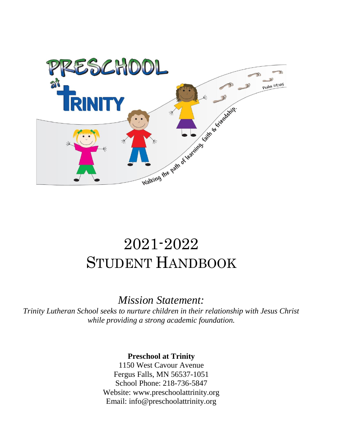

# 2021-2022 STUDENT HANDBOOK

## *Mission Statement:*

*Trinity Lutheran School seeks to nurture children in their relationship with Jesus Christ while providing a strong academic foundation.*

## **Preschool at Trinity**

1150 West Cavour Avenue Fergus Falls, MN 56537-1051 School Phone: 218-736-5847 Website: www.preschoolattrinity.org Email: info@preschoolattrinity.org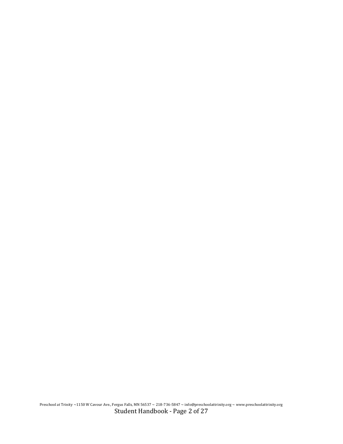Preschool at Trinity ~1150 W Cavour Ave., Fergus Falls, MN 56537 ~ 218-736-5847 ~ info@preschoolattrinity.org ~ www.preschoolattrinity.org Student Handbook - Page 2 of 27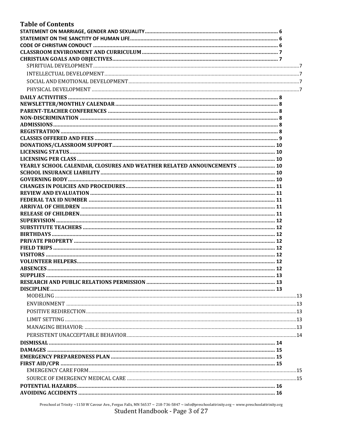| <b>Table of Contents</b> |  |
|--------------------------|--|
|--------------------------|--|

| YEARLY SCHOOL CALENDAR. CLOSURES AND WEATHER RELATED ANNOUNCEMENTS  10 |  |
|------------------------------------------------------------------------|--|
|                                                                        |  |
|                                                                        |  |
|                                                                        |  |
|                                                                        |  |
|                                                                        |  |
|                                                                        |  |
|                                                                        |  |
|                                                                        |  |
|                                                                        |  |
|                                                                        |  |
|                                                                        |  |
|                                                                        |  |
|                                                                        |  |
|                                                                        |  |
|                                                                        |  |
|                                                                        |  |
|                                                                        |  |
|                                                                        |  |
|                                                                        |  |
|                                                                        |  |
|                                                                        |  |
|                                                                        |  |
|                                                                        |  |
|                                                                        |  |
|                                                                        |  |
|                                                                        |  |
|                                                                        |  |
|                                                                        |  |
|                                                                        |  |
|                                                                        |  |
|                                                                        |  |
|                                                                        |  |
|                                                                        |  |

 $\begin{minipage}{0.9\textwidth} \begin{minipage}{0.9\textwidth} \centering \emph{Preschool at Trinity \textcolor{red}{\sim} 1150 W} \textbf{Cavour} \textbf{Ave}, \textbf{Fergus} \textbf{Falls}, \textbf{MN 56537} \sim 218\textbf{-736-5847} \sim \text{info@preschool} \textbf{attrimity}.\textbf{org} \sim \textbf{www.preschool} \normalsize \textbf{twinity}.\textbf{org} \sim \textbf{Student Handbook - Page 3 of 27} \end{minipage} \end{minipage}$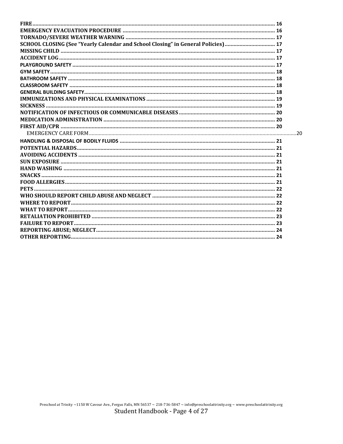| SCHOOL CLOSING (See "Yearly Calendar and School Closing" in General Policies) 17 |  |
|----------------------------------------------------------------------------------|--|
|                                                                                  |  |
|                                                                                  |  |
|                                                                                  |  |
|                                                                                  |  |
|                                                                                  |  |
|                                                                                  |  |
|                                                                                  |  |
|                                                                                  |  |
|                                                                                  |  |
|                                                                                  |  |
|                                                                                  |  |
|                                                                                  |  |
|                                                                                  |  |
|                                                                                  |  |
|                                                                                  |  |
|                                                                                  |  |
|                                                                                  |  |
|                                                                                  |  |
|                                                                                  |  |
|                                                                                  |  |
|                                                                                  |  |
|                                                                                  |  |
|                                                                                  |  |
|                                                                                  |  |
|                                                                                  |  |
|                                                                                  |  |
|                                                                                  |  |
|                                                                                  |  |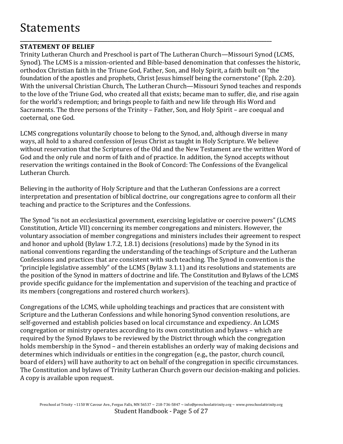## Statements

## **STATEMENT OF BELIEF**

Trinity Lutheran Church and Preschool is part of The Lutheran Church—Missouri Synod (LCMS, Synod). The LCMS is a mission-oriented and Bible-based denomination that confesses the historic, orthodox Christian faith in the Triune God, Father, Son, and Holy Spirit, a faith built on "the foundation of the apostles and prophets, Christ Jesus himself being the cornerstone" (Eph. 2:20). With the universal Christian Church, The Lutheran Church—Missouri Synod teaches and responds to the love of the Triune God, who created all that exists; became man to suffer, die, and rise again for the world's redemption; and brings people to faith and new life through His Word and Sacraments. The three persons of the Trinity – Father, Son, and Holy Spirit – are coequal and coeternal, one God.

**\_\_\_\_\_\_\_\_\_\_\_\_\_\_\_\_\_\_\_\_\_\_\_\_\_\_\_\_\_\_\_\_\_\_\_\_\_\_\_\_\_\_\_\_\_\_\_\_\_\_\_\_\_\_\_\_\_\_\_\_\_\_\_\_\_\_\_\_\_\_\_\_\_\_\_\_\_\_\_\_\_\_\_\_\_\_\_\_\_\_\_\_\_\_\_\_\_\_\_\_\_**

LCMS congregations voluntarily choose to belong to the Synod, and, although diverse in many ways, all hold to a shared confession of Jesus Christ as taught in Holy Scripture. We believe without reservation that the Scriptures of the Old and the New Testament are the written Word of God and the only rule and norm of faith and of practice. In addition, the Synod accepts without reservation the writings contained in the Book of Concord: The Confessions of the Evangelical Lutheran Church.

Believing in the authority of Holy Scripture and that the Lutheran Confessions are a correct interpretation and presentation of biblical doctrine, our congregations agree to conform all their teaching and practice to the Scriptures and the Confessions.

The Synod "is not an ecclesiastical government, exercising legislative or coercive powers" (LCMS Constitution, Article VII) concerning its member congregations and ministers. However, the voluntary association of member congregations and ministers includes their agreement to respect and honor and uphold (Bylaw 1.7.2, 1.8.1) decisions (resolutions) made by the Synod in its national conventions regarding the understanding of the teachings of Scripture and the Lutheran Confessions and practices that are consistent with such teaching. The Synod in convention is the "principle legislative assembly" of the LCMS (Bylaw 3.1.1) and its resolutions and statements are the position of the Synod in matters of doctrine and life. The Constitution and Bylaws of the LCMS provide specific guidance for the implementation and supervision of the teaching and practice of its members (congregations and rostered church workers).

Congregations of the LCMS, while upholding teachings and practices that are consistent with Scripture and the Lutheran Confessions and while honoring Synod convention resolutions, are self-governed and establish policies based on local circumstance and expediency. An LCMS congregation or ministry operates according to its own constitution and bylaws – which are required by the Synod Bylaws to be reviewed by the District through which the congregation holds membership in the Synod – and therein establishes an orderly way of making decisions and determines which individuals or entities in the congregation (e.g., the pastor, church council, board of elders) will have authority to act on behalf of the congregation in specific circumstances. The Constitution and bylaws of Trinity Lutheran Church govern our decision-making and policies. A copy is available upon request.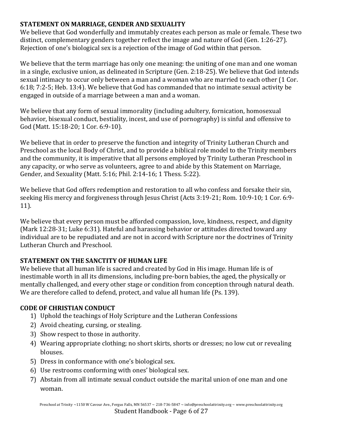## <span id="page-5-0"></span>**STATEMENT ON MARRIAGE, GENDER AND SEXUALITY**

We believe that God wonderfully and immutably creates each person as male or female. These two distinct, complementary genders together reflect the image and nature of God (Gen. 1:26-27). Rejection of one's biological sex is a rejection of the image of God within that person.

We believe that the term marriage has only one meaning: the uniting of one man and one woman in a single, exclusive union, as delineated in Scripture (Gen. 2:18-25). We believe that God intends sexual intimacy to occur only between a man and a woman who are married to each other (1 Cor. 6:18; 7:2-5; Heb. 13:4). We believe that God has commanded that no intimate sexual activity be engaged in outside of a marriage between a man and a woman.

We believe that any form of sexual immorality (including adultery, fornication, homosexual behavior, bisexual conduct, bestiality, incest, and use of pornography) is sinful and offensive to God (Matt. 15:18-20; 1 Cor. 6:9-10).

We believe that in order to preserve the function and integrity of Trinity Lutheran Church and Preschool as the local Body of Christ, and to provide a biblical role model to the Trinity members and the community, it is imperative that all persons employed by Trinity Lutheran Preschool in any capacity, or who serve as volunteers, agree to and abide by this Statement on Marriage, Gender, and Sexuality (Matt. 5:16; Phil. 2:14-16; 1 Thess. 5:22).

We believe that God offers redemption and restoration to all who confess and forsake their sin, seeking His mercy and forgiveness through Jesus Christ (Acts 3:19-21; Rom. 10:9-10; 1 Cor. 6:9- 11).

We believe that every person must be afforded compassion, love, kindness, respect, and dignity (Mark 12:28-31; Luke 6:31). Hateful and harassing behavior or attitudes directed toward any individual are to be repudiated and are not in accord with Scripture nor the doctrines of Trinity Lutheran Church and Preschool.

## <span id="page-5-1"></span>**STATEMENT ON THE SANCTITY OF HUMAN LIFE**

We believe that all human life is sacred and created by God in His image. Human life is of inestimable worth in all its dimensions, including pre-born babies, the aged, the physically or mentally challenged, and every other stage or condition from conception through natural death. We are therefore called to defend, protect, and value all human life (Ps. 139).

## <span id="page-5-2"></span>**CODE OF CHRISTIAN CONDUCT**

- 1) Uphold the teachings of Holy Scripture and the Lutheran Confessions
- 2) Avoid cheating, cursing, or stealing.
- 3) Show respect to those in authority.
- 4) Wearing appropriate clothing; no short skirts, shorts or dresses; no low cut or revealing blouses.
- 5) Dress in conformance with one's biological sex.
- 6) Use restrooms conforming with ones' biological sex.
- 7) Abstain from all intimate sexual conduct outside the marital union of one man and one woman.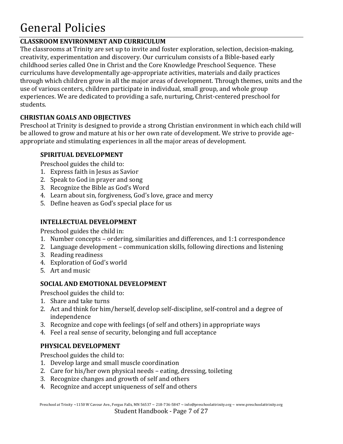## General Policies

## <span id="page-6-0"></span>**CLASSROOM ENVIRONMENT AND CURRICULUM**

The classrooms at Trinity are set up to invite and foster exploration, selection, decision-making, creativity, experimentation and discovery. Our curriculum consists of a Bible-based early childhood series called One in Christ and the Core Knowledge Preschool Sequence. These curriculums have developmentally age-appropriate activities, materials and daily practices through which children grow in all the major areas of development. Through themes, units and the use of various centers, children participate in individual, small group, and whole group experiences. We are dedicated to providing a safe, nurturing, Christ-centered preschool for students.

## <span id="page-6-1"></span>**CHRISTIAN GOALS AND OBJECTIVES**

Preschool at Trinity is designed to provide a strong Christian environment in which each child will be allowed to grow and mature at his or her own rate of development. We strive to provide ageappropriate and stimulating experiences in all the major areas of development.

## <span id="page-6-2"></span>**SPIRITUAL DEVELOPMENT**

Preschool guides the child to:

- 1. Express faith in Jesus as Savior
- 2. Speak to God in prayer and song
- 3. Recognize the Bible as God's Word
- 4. Learn about sin, forgiveness, God's love, grace and mercy
- 5. Define heaven as God's special place for us

## <span id="page-6-3"></span>**INTELLECTUAL DEVELOPMENT**

Preschool guides the child in:

- 1. Number concepts ordering, similarities and differences, and 1:1 correspondence
- 2. Language development communication skills, following directions and listening
- 3. Reading readiness
- 4. Exploration of God's world
- 5. Art and music

## <span id="page-6-4"></span>**SOCIAL AND EMOTIONAL DEVELOPMENT**

Preschool guides the child to:

- 1. Share and take turns
- 2. Act and think for him/herself, develop self-discipline, self-control and a degree of independence
- 3. Recognize and cope with feelings (of self and others) in appropriate ways
- 4. Feel a real sense of security, belonging and full acceptance

## <span id="page-6-5"></span>**PHYSICAL DEVELOPMENT**

Preschool guides the child to:

- 1. Develop large and small muscle coordination
- 2. Care for his/her own physical needs eating, dressing, toileting
- 3. Recognize changes and growth of self and others
- 4. Recognize and accept uniqueness of self and others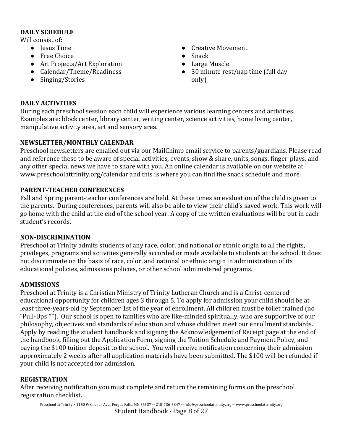#### **DAILY SCHEDULE**

Will consist of:

- Jesus Time
- Free Choice
- Art Projects/Art Exploration
- Calendar/Theme/Readiness
- Singing/Stories
- Creative Movement
- Snack
- Large Muscle
- 30 minute rest/nap time (full day only)

## <span id="page-7-0"></span>**DAILY ACTIVITIES**

During each preschool session each child will experience various learning centers and activities. Examples are: block center, library center, writing center, science activities, home living center, manipulative activity area, art and sensory area.

### <span id="page-7-1"></span>**NEWSLETTER/MONTHLY CALENDAR**

Preschool newsletters are emailed out via our MailChimp email service to parents/guardians. Please read and reference these to be aware of special activities, events, show & share, units, songs, finger-plays, and any other special news we have to share with you. An online calendar is available on our website at www.preschoolattrinity.org/calendar and this is where you can find the snack schedule and more.

### <span id="page-7-2"></span>**PARENT-TEACHER CONFERENCES**

Fall and Spring parent-teacher conferences are held. At these times an evaluation of the child is given to the parents. During conferences, parents will also be able to view their child's saved work. This work will go home with the child at the end of the school year. A copy of the written evaluations will be put in each student's records.

#### <span id="page-7-3"></span>**NON-DISCRIMINATION**

Preschool at Trinity admits students of any race, color, and national or ethnic origin to all the rights, privileges, programs and activities generally accorded or made available to students at the school. It does not discriminate on the basis of race, color, and national or ethnic origin in administration of its educational policies, admissions policies, or other school administered programs.

#### <span id="page-7-4"></span>**ADMISSIONS**

Preschool at Trinity is a Christian Ministry of Trinity Lutheran Church and is a Christ-centered educational opportunity for children ages 3 through 5. To apply for admission your child should be at least three-years-old by September 1st of the year of enrollment. All children must be toilet trained (no "Pull-Ups™"). Our school is open to families who are like-minded spiritually, who are supportive of our philosophy, objectives and standards of education and whose children meet our enrollment standards. Apply by reading the student handbook and signing the Acknowledgement of Receipt page at the end of the handbook, filling out the Application Form, signing the Tuition Schedule and Payment Policy, and paying the \$100 tuition deposit to the school. You will receive notification concerning their admission approximately 2 weeks after all application materials have been submitted. The \$100 will be refunded if your child is not accepted for admission.

#### <span id="page-7-5"></span>**REGISTRATION**

After receiving notification you must complete and return the remaining forms on the preschool registration checklist.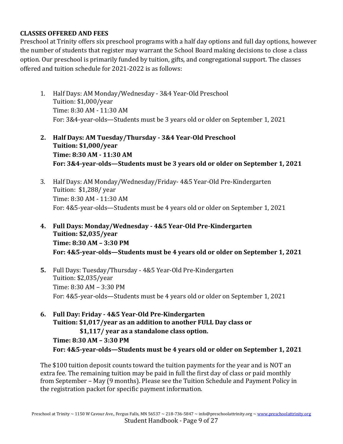#### <span id="page-8-0"></span>**CLASSES OFFERED AND FEES**

Preschool at Trinity offers six preschool programs with a half day options and full day options, however the number of students that register may warrant the School Board making decisions to close a class option. Our preschool is primarily funded by tuition, gifts, and congregational support. The classes offered and tuition schedule for 2021-2022 is as follows:

- 1. Half Days: AM Monday/Wednesday 3&4 Year-Old Preschool Tuition: \$1,000/year Time: 8:30 AM - 11:30 AM For: 3&4-year-olds—Students must be 3 years old or older on September 1, 2021
- **2. Half Days: AM Tuesday/Thursday - 3&4 Year-Old Preschool Tuition: \$1,000/year Time: 8:30 AM - 11:30 AM For: 3&4-year-olds—Students must be 3 years old or older on September 1, 2021**
- 3. Half Days: AM Monday/Wednesday/Friday- 4&5 Year-Old Pre-Kindergarten Tuition: \$1,288/ year Time: 8:30 AM - 11:30 AM For: 4&5-year-olds—Students must be 4 years old or older on September 1, 2021
- **4. Full Days: Monday/Wednesday - 4&5 Year-Old Pre-Kindergarten Tuition: \$2,035/year Time: 8:30 AM – 3:30 PM For: 4&5-year-olds—Students must be 4 years old or older on September 1, 2021**
- **5.** Full Days: Tuesday/Thursday 4&5 Year-Old Pre-Kindergarten Tuition: \$2,035/year Time: 8:30 AM – 3:30 PM For: 4&5-year-olds—Students must be 4 years old or older on September 1, 2021
- **6. Full Day: Friday - 4&5 Year-Old Pre-Kindergarten Tuition: \$1,017/year as an addition to another FULL Day class or \$1,117/ year as a standalone class option. Time: 8:30 AM – 3:30 PM For: 4&5-year-olds—Students must be 4 years old or older on September 1, 2021**

The \$100 tuition deposit counts toward the tuition payments for the year and is NOT an extra fee. The remaining tuition may be paid in full the first day of class or paid monthly from September – May (9 months). Please see the Tuition Schedule and Payment Policy in the registration packet for specific payment information.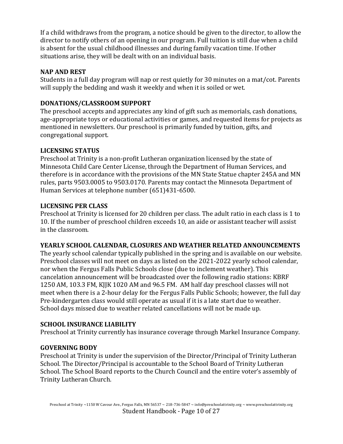If a child withdraws from the program, a notice should be given to the director, to allow the director to notify others of an opening in our program. Full tuition is still due when a child is absent for the usual childhood illnesses and during family vacation time. If other situations arise, they will be dealt with on an individual basis.

## **NAP AND REST**

Students in a full day program will nap or rest quietly for 30 minutes on a mat/cot. Parents will supply the bedding and wash it weekly and when it is soiled or wet.

## <span id="page-9-0"></span>**DONATIONS/CLASSROOM SUPPORT**

The preschool accepts and appreciates any kind of gift such as memorials, cash donations, age-appropriate toys or educational activities or games, and requested items for projects as mentioned in newsletters. Our preschool is primarily funded by tuition, gifts, and congregational support.

## <span id="page-9-1"></span>**LICENSING STATUS**

Preschool at Trinity is a non-profit Lutheran organization licensed by the state of Minnesota Child Care Center License, through the Department of Human Services, and therefore is in accordance with the provisions of the MN State Statue chapter 245A and MN rules, parts 9503.0005 to 9503.0170. Parents may contact the Minnesota Department of Human Services at telephone number (651)431-6500.

## <span id="page-9-2"></span>**LICENSING PER CLASS**

Preschool at Trinity is licensed for 20 children per class. The adult ratio in each class is 1 to 10. If the number of preschool children exceeds 10, an aide or assistant teacher will assist in the classroom.

## <span id="page-9-3"></span>**YEARLY SCHOOL CALENDAR, CLOSURES AND WEATHER RELATED ANNOUNCEMENTS**

The yearly school calendar typically published in the spring and is available on our website. Preschool classes will not meet on days as listed on the 2021-2022 yearly school calendar, nor when the Fergus Falls Public Schools close (due to inclement weather). This cancelation announcement will be broadcasted over the following radio stations: KBRF 1250 AM, 103.3 FM, KJJK 1020 AM and 96.5 FM. AM half day preschool classes will not meet when there is a 2-hour delay for the Fergus Falls Public Schools; however, the full day Pre-kindergarten class would still operate as usual if it is a late start due to weather. School days missed due to weather related cancellations will not be made up.

## <span id="page-9-4"></span>**SCHOOL INSURANCE LIABILITY**

Preschool at Trinity currently has insurance coverage through Markel Insurance Company.

## <span id="page-9-5"></span>**GOVERNING BODY**

Preschool at Trinity is under the supervision of the Director/Principal of Trinity Lutheran School. The Director/Principal is accountable to the School Board of Trinity Lutheran School. The School Board reports to the Church Council and the entire voter's assembly of Trinity Lutheran Church.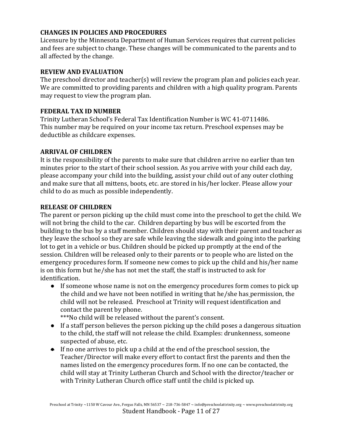## <span id="page-10-0"></span>**CHANGES IN POLICIES AND PROCEDURES**

Licensure by the Minnesota Department of Human Services requires that current policies and fees are subject to change. These changes will be communicated to the parents and to all affected by the change.

### <span id="page-10-1"></span>**REVIEW AND EVALUATION**

The preschool director and teacher(s) will review the program plan and policies each year. We are committed to providing parents and children with a high quality program. Parents may request to view the program plan.

#### <span id="page-10-2"></span>**FEDERAL TAX ID NUMBER**

Trinity Lutheran School's Federal Tax Identification Number is WC 41-0711486. This number may be required on your income tax return. Preschool expenses may be deductible as childcare expenses.

### <span id="page-10-3"></span>**ARRIVAL OF CHILDREN**

It is the responsibility of the parents to make sure that children arrive no earlier than ten minutes prior to the start of their school session. As you arrive with your child each day, please accompany your child into the building, assist your child out of any outer clothing and make sure that all mittens, boots, etc. are stored in his/her locker. Please allow your child to do as much as possible independently.

### <span id="page-10-4"></span>**RELEASE OF CHILDREN**

The parent or person picking up the child must come into the preschool to get the child. We will not bring the child to the car. Children departing by bus will be escorted from the building to the bus by a staff member. Children should stay with their parent and teacher as they leave the school so they are safe while leaving the sidewalk and going into the parking lot to get in a vehicle or bus. Children should be picked up promptly at the end of the session. Children will be released only to their parents or to people who are listed on the emergency procedures form. If someone new comes to pick up the child and his/her name is on this form but he/she has not met the staff, the staff is instructed to ask for identification.

● If someone whose name is not on the emergency procedures form comes to pick up the child and we have not been notified in writing that he/she has permission, the child will not be released. Preschool at Trinity will request identification and contact the parent by phone.

\*\*\*No child will be released without the parent's consent.

- If a staff person believes the person picking up the child poses a dangerous situation to the child, the staff will not release the child. Examples: drunkenness, someone suspected of abuse, etc.
- If no one arrives to pick up a child at the end of the preschool session, the Teacher/Director will make every effort to contact first the parents and then the names listed on the emergency procedures form. If no one can be contacted, the child will stay at Trinity Lutheran Church and School with the director/teacher or with Trinity Lutheran Church office staff until the child is picked up.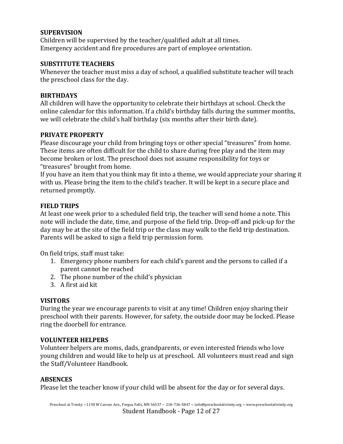#### <span id="page-11-0"></span>**SUPERVISION**

Children will be supervised by the teacher/qualified adult at all times. Emergency accident and fire procedures are part of employee orientation.

#### <span id="page-11-1"></span>**SUBSTITUTE TEACHERS**

Whenever the teacher must miss a day of school, a qualified substitute teacher will teach the preschool class for the day.

#### <span id="page-11-2"></span>**BIRTHDAYS**

All children will have the opportunity to celebrate their birthdays at school. Check the online calendar for this information. If a child's birthday falls during the summer months, we will celebrate the child's half birthday (six months after their birth date).

### <span id="page-11-3"></span>**PRIVATE PROPERTY**

Please discourage your child from bringing toys or other special "treasures" from home. These items are often difficult for the child to share during free play and the item may become broken or lost. The preschool does not assume responsibility for toys or "treasures" brought from home.

If you have an item that you think may fit into a theme, we would appreciate your sharing it with us. Please bring the item to the child's teacher. It will be kept in a secure place and returned promptly.

### <span id="page-11-4"></span>**FIELD TRIPS**

At least one week prior to a scheduled field trip, the teacher will send home a note. This note will include the date, time, and purpose of the field trip. Drop-off and pick-up for the day may be at the site of the field trip or the class may walk to the field trip destination. Parents will be asked to sign a field trip permission form.

On field trips, staff must take:

- 1. Emergency phone numbers for each child's parent and the persons to called if a parent cannot be reached
- 2. The phone number of the child's physician
- 3. A first aid kit

#### <span id="page-11-5"></span>**VISITORS**

During the year we encourage parents to visit at any time! Children enjoy sharing their preschool with their parents. However, for safety, the outside door may be locked. Please ring the doorbell for entrance.

#### <span id="page-11-6"></span>**VOLUNTEER HELPERS**

Volunteer helpers are moms, dads, grandparents, or even interested friends who love young children and would like to help us at preschool. All volunteers must read and sign the Staff/Volunteer Handbook.

## <span id="page-11-7"></span>**ABSENCES**

Please let the teacher know if your child will be absent for the day or for several days.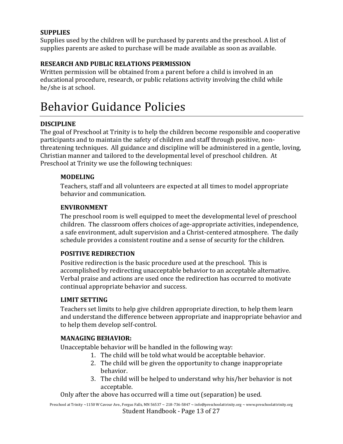## <span id="page-12-0"></span>**SUPPLIES**

Supplies used by the children will be purchased by parents and the preschool. A list of supplies parents are asked to purchase will be made available as soon as available.

## <span id="page-12-1"></span>**RESEARCH AND PUBLIC RELATIONS PERMISSION**

Written permission will be obtained from a parent before a child is involved in an educational procedure, research, or public relations activity involving the child while he/she is at school.

## Behavior Guidance Policies

### <span id="page-12-2"></span>**DISCIPLINE**

The goal of Preschool at Trinity is to help the children become responsible and cooperative participants and to maintain the safety of children and staff through positive, nonthreatening techniques. All guidance and discipline will be administered in a gentle, loving, Christian manner and tailored to the developmental level of preschool children. At Preschool at Trinity we use the following techniques:

### <span id="page-12-3"></span>**MODELING**

Teachers, staff and all volunteers are expected at all times to model appropriate behavior and communication.

### <span id="page-12-4"></span>**ENVIRONMENT**

The preschool room is well equipped to meet the developmental level of preschool children. The classroom offers choices of age-appropriate activities, independence, a safe environment, adult supervision and a Christ-centered atmosphere. The daily schedule provides a consistent routine and a sense of security for the children.

#### <span id="page-12-5"></span>**POSITIVE REDIRECTION**

Positive redirection is the basic procedure used at the preschool. This is accomplished by redirecting unacceptable behavior to an acceptable alternative. Verbal praise and actions are used once the redirection has occurred to motivate continual appropriate behavior and success.

#### <span id="page-12-6"></span>**LIMIT SETTING**

Teachers set limits to help give children appropriate direction, to help them learn and understand the difference between appropriate and inappropriate behavior and to help them develop self-control.

#### <span id="page-12-7"></span>**MANAGING BEHAVIOR:**

Unacceptable behavior will be handled in the following way:

- 1. The child will be told what would be acceptable behavior.
- 2. The child will be given the opportunity to change inappropriate behavior.
- 3. The child will be helped to understand why his/her behavior is not acceptable.

Only after the above has occurred will a time out (separation) be used.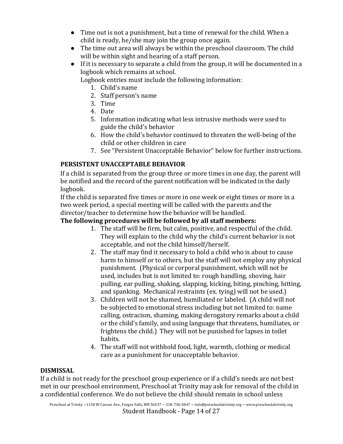- Time out is not a punishment, but a time of renewal for the child. When a child is ready, he/she may join the group once again.
- The time out area will always be within the preschool classroom. The child will be within sight and hearing of a staff person.
- If it is necessary to separate a child from the group, it will be documented in a logbook which remains at school.

Logbook entries must include the following information:

- 1. Child's name
- 2. Staff person's name
- 3. Time
- 4. Date
- 5. Information indicating what less intrusive methods were used to guide the child's behavior
- 6. How the child's behavior continued to threaten the well-being of the child or other children in care
- 7. See "Persistent Unacceptable Behavior" below for further instructions.

## <span id="page-13-0"></span>**PERSISTENT UNACCEPTABLE BEHAVIOR**

If a child is separated from the group three or more times in one day, the parent will be notified and the record of the parent notification will be indicated in the daily logbook.

If the child is separated five times or more in one week or eight times or more in a two week period, a special meeting will be called with the parents and the director/teacher to determine how the behavior will be handled.

## **The following procedures will be followed by all staff members:**

- 1. The staff will be firm, but calm, positive, and respectful of the child. They will explain to the child why the child's current behavior is not acceptable, and not the child himself/herself.
- 2. The staff may find it necessary to hold a child who is about to cause harm to himself or to others, but the staff will not employ any physical punishment. (Physical or corporal punishment, which will not be used, includes but is not limited to: rough handling, shoving, hair pulling, ear pulling, shaking, slapping, kicking, biting, pinching, hitting, and spanking. Mechanical restraints (ex. tying) will not be used.)
- 3. Children will not be shamed, humiliated or labeled. (A child will not be subjected to emotional stress including but not limited to: name calling, ostracism, shaming, making derogatory remarks about a child or the child's family, and using language that threatens, humiliates, or frightens the child.) They will not be punished for lapses in toilet habits.
- 4. The staff will not withhold food, light, warmth, clothing or medical care as a punishment for unacceptable behavior.

## <span id="page-13-1"></span>**DISMISSAL**

If a child is not ready for the preschool group experience or if a child's needs are not best met in our preschool environment, Preschool at Trinity may ask for removal of the child in a confidential conference. We do not believe the child should remain in school unless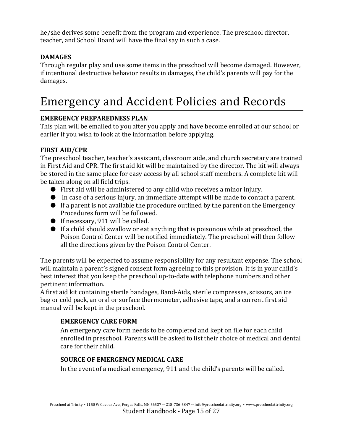he/she derives some benefit from the program and experience. The preschool director, teacher, and School Board will have the final say in such a case.

## <span id="page-14-0"></span>**DAMAGES**

Through regular play and use some items in the preschool will become damaged. However, if intentional destructive behavior results in damages, the child's parents will pay for the damages.

## Emergency and Accident Policies and Records

## <span id="page-14-1"></span>**EMERGENCY PREPAREDNESS PLAN**

This plan will be emailed to you after you apply and have become enrolled at our school or earlier if you wish to look at the information before applying.

## <span id="page-14-2"></span>**FIRST AID/CPR**

The preschool teacher, teacher's assistant, classroom aide, and church secretary are trained in First Aid and CPR. The first aid kit will be maintained by the director. The kit will always be stored in the same place for easy access by all school staff members. A complete kit will be taken along on all field trips.

- First aid will be administered to any child who receives a minor injury.
- In case of a serious injury, an immediate attempt will be made to contact a parent.
- If a parent is not available the procedure outlined by the parent on the Emergency Procedures form will be followed.
- If necessary, 911 will be called.
- If a child should swallow or eat anything that is poisonous while at preschool, the Poison Control Center will be notified immediately. The preschool will then follow all the directions given by the Poison Control Center.

The parents will be expected to assume responsibility for any resultant expense. The school will maintain a parent's signed consent form agreeing to this provision. It is in your child's best interest that you keep the preschool up-to-date with telephone numbers and other pertinent information.

A first aid kit containing sterile bandages, Band-Aids, sterile compresses, scissors, an ice bag or cold pack, an oral or surface thermometer, adhesive tape, and a current first aid manual will be kept in the preschool.

## <span id="page-14-3"></span>**EMERGENCY CARE FORM**

An emergency care form needs to be completed and kept on file for each child enrolled in preschool. Parents will be asked to list their choice of medical and dental care for their child.

## <span id="page-14-4"></span>**SOURCE OF EMERGENCY MEDICAL CARE**

In the event of a medical emergency, 911 and the child's parents will be called.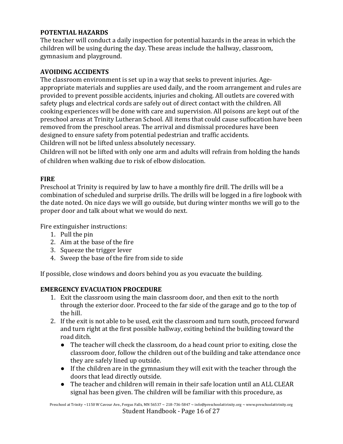## <span id="page-15-0"></span>**POTENTIAL HAZARDS**

The teacher will conduct a daily inspection for potential hazards in the areas in which the children will be using during the day. These areas include the hallway, classroom, gymnasium and playground.

## <span id="page-15-1"></span>**AVOIDING ACCIDENTS**

The classroom environment is set up in a way that seeks to prevent injuries. Ageappropriate materials and supplies are used daily, and the room arrangement and rules are provided to prevent possible accidents, injuries and choking. All outlets are covered with safety plugs and electrical cords are safely out of direct contact with the children. All cooking experiences will be done with care and supervision. All poisons are kept out of the preschool areas at Trinity Lutheran School. All items that could cause suffocation have been removed from the preschool areas. The arrival and dismissal procedures have been designed to ensure safety from potential pedestrian and traffic accidents. Children will not be lifted unless absolutely necessary.

Children will not be lifted with only one arm and adults will refrain from holding the hands of children when walking due to risk of elbow dislocation.

## <span id="page-15-2"></span>**FIRE**

Preschool at Trinity is required by law to have a monthly fire drill. The drills will be a combination of scheduled and surprise drills. The drills will be logged in a fire logbook with the date noted. On nice days we will go outside, but during winter months we will go to the proper door and talk about what we would do next.

Fire extinguisher instructions:

- 1. Pull the pin
- 2. Aim at the base of the fire
- 3. Squeeze the trigger lever
- 4. Sweep the base of the fire from side to side

If possible, close windows and doors behind you as you evacuate the building.

#### <span id="page-15-3"></span>**EMERGENCY EVACUATION PROCEDURE**

- 1. Exit the classroom using the main classroom door, and then exit to the north through the exterior door. Proceed to the far side of the garage and go to the top of the hill.
- 2. If the exit is not able to be used, exit the classroom and turn south, proceed forward and turn right at the first possible hallway, exiting behind the building toward the road ditch.
	- The teacher will check the classroom, do a head count prior to exiting, close the classroom door, follow the children out of the building and take attendance once they are safely lined up outside.
	- If the children are in the gymnasium they will exit with the teacher through the doors that lead directly outside.
	- The teacher and children will remain in their safe location until an ALL CLEAR signal has been given. The children will be familiar with this procedure, as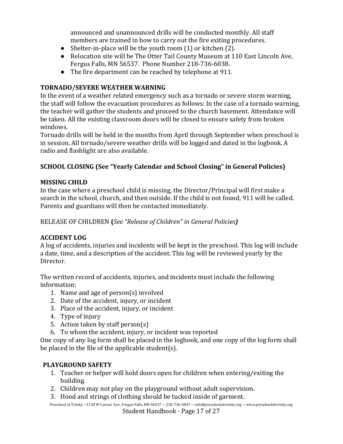announced and unannounced drills will be conducted monthly. All staff members are trained in how to carry out the fire exiting procedures.

- Shelter-in-place will be the youth room (1) or kitchen (2).
- Relocation site will be The Otter Tail County Museum at 110 East Lincoln Ave, Fergus Falls, MN 56537. Phone Number 218-736-6038.
- The fire department can be reached by telephone at 911.

## <span id="page-16-0"></span>**TORNADO/SEVERE WEATHER WARNING**

In the event of a weather related emergency such as a tornado or severe storm warning, the staff will follow the evacuation procedures as follows: In the case of a tornado warning, the teacher will gather the students and proceed to the church basement. Attendance will be taken. All the existing classroom doors will be closed to ensure safety from broken windows.

Tornado drills will be held in the months from April through September when preschool is in session. All tornado/severe weather drills will be logged and dated in the logbook. A radio and flashlight are also available.

## <span id="page-16-1"></span>**SCHOOL CLOSING (See "Yearly Calendar and School Closing" in General Policies)**

## <span id="page-16-2"></span>**MISSING CHILD**

In the case where a preschool child is missing, the Director/Principal will first make a search in the school, church, and then outside. If the child is not found, 911 will be called. Parents and guardians will then be contacted immediately.

RELEASE OF CHILDREN **(***See "Release of Children" in General Policies)*

## <span id="page-16-3"></span>**ACCIDENT LOG**

A log of accidents, injuries and incidents will be kept in the preschool. This log will include a date, time, and a description of the accident. This log will be reviewed yearly by the Director.

The written record of accidents, injuries, and incidents must include the following information:

- 1. Name and age of person(s) involved
- 2. Date of the accident, injury, or incident
- 3. Place of the accident, injury, or incident
- 4. Type of injury
- 5. Action taken by staff person(s)
- 6. To whom the accident, injury, or incident was reported

One copy of any log form shall be placed in the logbook, and one copy of the log form shall be placed in the file of the applicable student(s).

## <span id="page-16-4"></span>**PLAYGROUND SAFETY**

- 1. Teacher or helper will hold doors open for children when entering/exiting the building.
- 2. Children may not play on the playground without adult supervision.
- 3. Hood and strings of clothing should be tucked inside of garment.

Preschool at Trinity ~1150 W Cavour Ave., Fergus Falls, MN 56537 ~ 218-736-5847 ~ info@preschoolattrinity.org ~ www.preschoolattrinity.org Student Handbook - Page 17 of 27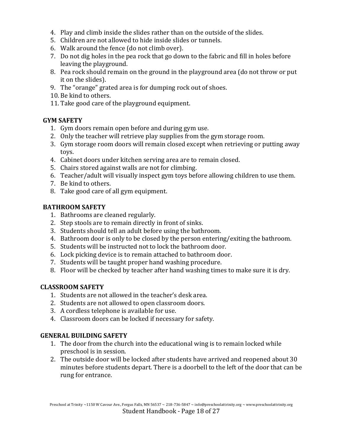- 4. Play and climb inside the slides rather than on the outside of the slides.
- 5. Children are not allowed to hide inside slides or tunnels.
- 6. Walk around the fence (do not climb over).
- 7. Do not dig holes in the pea rock that go down to the fabric and fill in holes before leaving the playground.
- 8. Pea rock should remain on the ground in the playground area (do not throw or put it on the slides).
- 9. The "orange" grated area is for dumping rock out of shoes.
- 10. Be kind to others.
- 11. Take good care of the playground equipment.

### <span id="page-17-0"></span>**GYM SAFETY**

- 1. Gym doors remain open before and during gym use.
- 2. Only the teacher will retrieve play supplies from the gym storage room.
- 3. Gym storage room doors will remain closed except when retrieving or putting away toys.
- 4. Cabinet doors under kitchen serving area are to remain closed.
- 5. Chairs stored against walls are not for climbing.
- 6. Teacher/adult will visually inspect gym toys before allowing children to use them.
- 7. Be kind to others.
- 8. Take good care of all gym equipment.

### <span id="page-17-1"></span>**BATHROOM SAFETY**

- 1. Bathrooms are cleaned regularly.
- 2. Step stools are to remain directly in front of sinks.
- 3. Students should tell an adult before using the bathroom.
- 4. Bathroom door is only to be closed by the person entering/exiting the bathroom.
- 5. Students will be instructed not to lock the bathroom door.
- 6. Lock picking device is to remain attached to bathroom door.
- 7. Students will be taught proper hand washing procedure.
- 8. Floor will be checked by teacher after hand washing times to make sure it is dry.

## <span id="page-17-2"></span>**CLASSROOM SAFETY**

- 1. Students are not allowed in the teacher's desk area.
- 2. Students are not allowed to open classroom doors.
- 3. A cordless telephone is available for use.
- 4. Classroom doors can be locked if necessary for safety.

## <span id="page-17-3"></span>**GENERAL BUILDING SAFETY**

- 1. The door from the church into the educational wing is to remain locked while preschool is in session.
- 2. The outside door will be locked after students have arrived and reopened about 30 minutes before students depart. There is a doorbell to the left of the door that can be rung for entrance.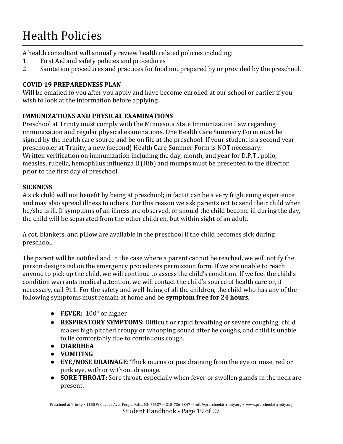## Health Policies

A health consultant will annually review health related policies including:

- 1. First Aid and safety policies and procedures
- 2. Sanitation procedures and practices for food not prepared by or provided by the preschool.

## **COVID 19 PREPAREDNESS PLAN**

Will be emailed to you after you apply and have become enrolled at our school or earlier if you wish to look at the information before applying.

## <span id="page-18-0"></span>**IMMUNIZATIONS AND PHYSICAL EXAMINATIONS**

Preschool at Trinity must comply with the Minnesota State Immunization Law regarding immunization and regular physical examinations. One Health Care Summary Form must be signed by the health care source and be on file at the preschool. If your student is a second year preschooler at Trinity, a new (second) Health Care Summer Form is NOT necessary. Written verification on immunization including the day, month, and year for D.P.T., polio, measles, rubella, hemophilus influenza B (Hib) and mumps must be presented to the director prior to the first day of preschool.

## <span id="page-18-1"></span>**SICKNESS**

A sick child will not benefit by being at preschool; in fact it can be a very frightening experience and may also spread illness to others. For this reason we ask parents not to send their child when he/she is ill. If symptoms of an illness are observed, or should the child become ill during the day, the child will be separated from the other children, but within sight of an adult.

A cot, blankets, and pillow are available in the preschool if the child becomes sick during preschool.

The parent will be notified and in the case where a parent cannot be reached, we will notify the person designated on the emergency procedures permission form. If we are unable to reach anyone to pick up the child, we will continue to assess the child's condition. If we feel the child's condition warrants medical attention, we will contact the child's source of health care or, if necessary, call 911. For the safety and well-being of all the children, the child who has any of the following symptoms must remain at home and be **symptom free for 24 hours**.

- **FEVER:** 100° or higher
- **RESPIRATORY SYMPTOMS:** Difficult or rapid breathing or severe coughing: child makes high pitched croupy or whooping sound after he coughs, and child is unable to lie comfortably due to continuous cough.
- **DIARRHEA**
- **VOMITING**
- **EYE/NOSE DRAINAGE:** Thick mucus or pus draining from the eye or nose, red or pink eye, with or without drainage.
- **SORE THROAT:** Sore throat, especially when fever or swollen glands in the neck are present.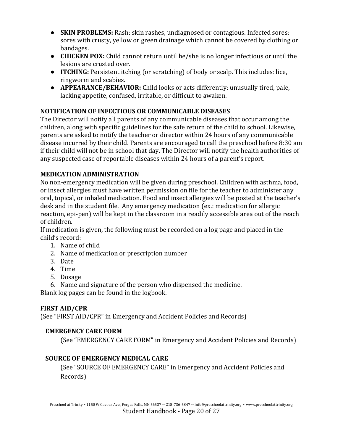- **SKIN PROBLEMS:** Rash: skin rashes, undiagnosed or contagious. Infected sores; sores with crusty, yellow or green drainage which cannot be covered by clothing or bandages.
- **CHICKEN POX:** Child cannot return until he/she is no longer infectious or until the lesions are crusted over.
- **ITCHING:** Persistent itching (or scratching) of body or scalp. This includes: lice, ringworm and scabies.
- **APPEARANCE/BEHAVIOR:** Child looks or acts differently: unusually tired, pale, lacking appetite, confused, irritable, or difficult to awaken.

## <span id="page-19-0"></span>**NOTIFICATION OF INFECTIOUS OR COMMUNICABLE DISEASES**

The Director will notify all parents of any communicable diseases that occur among the children, along with specific guidelines for the safe return of the child to school. Likewise, parents are asked to notify the teacher or director within 24 hours of any communicable disease incurred by their child. Parents are encouraged to call the preschool before 8:30 am if their child will not be in school that day. The Director will notify the health authorities of any suspected case of reportable diseases within 24 hours of a parent's report.

## <span id="page-19-1"></span>**MEDICATION ADMINISTRATION**

No non-emergency medication will be given during preschool. Children with asthma, food, or insect allergies must have written permission on file for the teacher to administer any oral, topical, or inhaled medication. Food and insect allergies will be posted at the teacher's desk and in the student file. Any emergency medication (ex.: medication for allergic reaction, epi-pen) will be kept in the classroom in a readily accessible area out of the reach of children.

If medication is given, the following must be recorded on a log page and placed in the child's record:

- 1. Name of child
- 2. Name of medication or prescription number
- 3. Date
- 4. Time
- 5. Dosage
- 6. Name and signature of the person who dispensed the medicine.

Blank log pages can be found in the logbook.

## <span id="page-19-2"></span>**FIRST AID/CPR**

(See "FIRST AID/CPR" in Emergency and Accident Policies and Records)

## <span id="page-19-3"></span>**EMERGENCY CARE FORM**

(See "EMERGENCY CARE FORM" in Emergency and Accident Policies and Records)

## **SOURCE OF EMERGENCY MEDICAL CARE**

(See "SOURCE OF EMERGENCY CARE" in Emergency and Accident Policies and Records)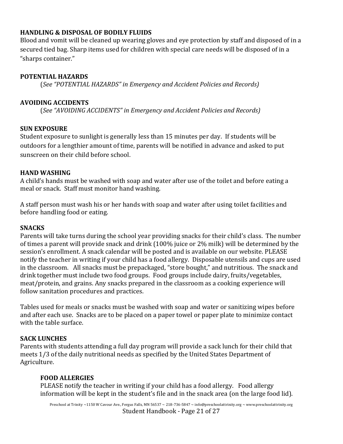## <span id="page-20-0"></span>**HANDLING & DISPOSAL OF BODILY FLUIDS**

Blood and vomit will be cleaned up wearing gloves and eye protection by staff and disposed of in a secured tied bag. Sharp items used for children with special care needs will be disposed of in a "sharps container."

#### <span id="page-20-1"></span>**POTENTIAL HAZARDS**

(*See "POTENTIAL HAZARDS" in Emergency and Accident Policies and Records)*

### <span id="page-20-2"></span>**AVOIDING ACCIDENTS**

(*See "AVOIDING ACCIDENTS" in Emergency and Accident Policies and Records)*

### <span id="page-20-3"></span>**SUN EXPOSURE**

Student exposure to sunlight is generally less than 15 minutes per day. If students will be outdoors for a lengthier amount of time, parents will be notified in advance and asked to put sunscreen on their child before school.

### <span id="page-20-4"></span>**HAND WASHING**

A child's hands must be washed with soap and water after use of the toilet and before eating a meal or snack. Staff must monitor hand washing.

A staff person must wash his or her hands with soap and water after using toilet facilities and before handling food or eating.

#### <span id="page-20-5"></span>**SNACKS**

Parents will take turns during the school year providing snacks for their child's class. The number of times a parent will provide snack and drink (100% juice or 2% milk) will be determined by the session's enrollment. A snack calendar will be posted and is available on our website. PLEASE notify the teacher in writing if your child has a food allergy. Disposable utensils and cups are used in the classroom. All snacks must be prepackaged, "store bought," and nutritious. The snack and drink together must include two food groups. Food groups include dairy, fruits/vegetables, meat/protein, and grains. Any snacks prepared in the classroom as a cooking experience will follow sanitation procedures and practices.

Tables used for meals or snacks must be washed with soap and water or sanitizing wipes before and after each use. Snacks are to be placed on a paper towel or paper plate to minimize contact with the table surface.

## **SACK LUNCHES**

Parents with students attending a full day program will provide a sack lunch for their child that meets 1/3 of the daily nutritional needs as specified by the United States Department of Agriculture.

## <span id="page-20-6"></span>**FOOD ALLERGIES**

PLEASE notify the teacher in writing if your child has a food allergy. Food allergy information will be kept in the student's file and in the snack area (on the large food lid).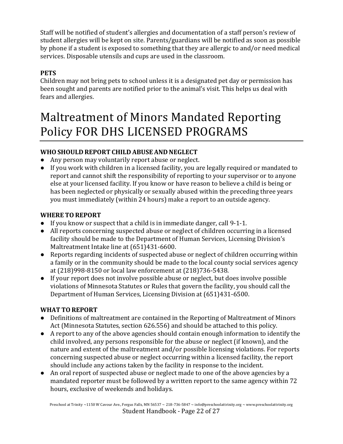Staff will be notified of student's allergies and documentation of a staff person's review of student allergies will be kept on site. Parents/guardians will be notified as soon as possible by phone if a student is exposed to something that they are allergic to and/or need medical services. Disposable utensils and cups are used in the classroom.

## <span id="page-21-0"></span>**PETS**

Children may not bring pets to school unless it is a designated pet day or permission has been sought and parents are notified prior to the animal's visit. This helps us deal with fears and allergies.

## Maltreatment of Minors Mandated Reporting Policy FOR DHS LICENSED PROGRAMS

## <span id="page-21-1"></span>**WHO SHOULD REPORT CHILD ABUSE AND NEGLECT**

- Any person may voluntarily report abuse or neglect.
- If you work with children in a licensed facility, you are legally required or mandated to report and cannot shift the responsibility of reporting to your supervisor or to anyone else at your licensed facility. If you know or have reason to believe a child is being or has been neglected or physically or sexually abused within the preceding three years you must immediately (within 24 hours) make a report to an outside agency.

## <span id="page-21-2"></span>**WHERE TO REPORT**

- If you know or suspect that a child is in immediate danger, call 9-1-1.
- All reports concerning suspected abuse or neglect of children occurring in a licensed facility should be made to the Department of Human Services, Licensing Division's Maltreatment Intake line at (651)431-6600.
- Reports regarding incidents of suspected abuse or neglect of children occurring within a family or in the community should be made to the local county social services agency at (218)998-8150 or local law enforcement at (218)736-5438.
- If your report does not involve possible abuse or neglect, but does involve possible violations of Minnesota Statutes or Rules that govern the facility, you should call the Department of Human Services, Licensing Division at (651)431-6500.

## <span id="page-21-3"></span>**WHAT TO REPORT**

- Definitions of maltreatment are contained in the Reporting of Maltreatment of Minors Act (Minnesota Statutes, section 626.556) and should be attached to this policy.
- A report to any of the above agencies should contain enough information to identify the child involved, any persons responsible for the abuse or neglect (if known), and the nature and extent of the maltreatment and/or possible licensing violations. For reports concerning suspected abuse or neglect occurring within a licensed facility, the report should include any actions taken by the facility in response to the incident.
- An oral report of suspected abuse or neglect made to one of the above agencies by a mandated reporter must be followed by a written report to the same agency within 72 hours, exclusive of weekends and holidays.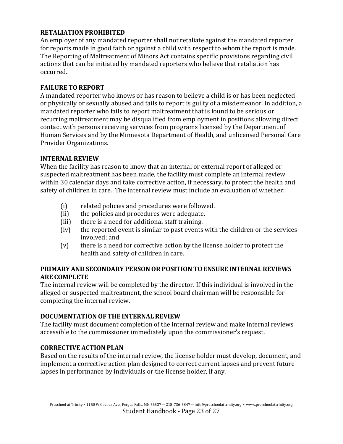## <span id="page-22-0"></span>**RETALIATION PROHIBITED**

An employer of any mandated reporter shall not retaliate against the mandated reporter for reports made in good faith or against a child with respect to whom the report is made. The Reporting of Maltreatment of Minors Act contains specific provisions regarding civil actions that can be initiated by mandated reporters who believe that retaliation has occurred.

#### <span id="page-22-1"></span>**FAILURE TO REPORT**

A mandated reporter who knows or has reason to believe a child is or has been neglected or physically or sexually abused and fails to report is guilty of a misdemeanor. In addition, a mandated reporter who fails to report maltreatment that is found to be serious or recurring maltreatment may be disqualified from employment in positions allowing direct contact with persons receiving services from programs licensed by the Department of Human Services and by the Minnesota Department of Health, and unlicensed Personal Care Provider Organizations.

#### **INTERNAL REVIEW**

When the facility has reason to know that an internal or external report of alleged or suspected maltreatment has been made, the facility must complete an internal review within 30 calendar days and take corrective action, if necessary, to protect the health and safety of children in care. The internal review must include an evaluation of whether:

- (i) related policies and procedures were followed.
- (ii) the policies and procedures were adequate.
- (iii) there is a need for additional staff training.
- (iv) the reported event is similar to past events with the children or the services involved; and
- (v) there is a need for corrective action by the license holder to protect the health and safety of children in care.

#### **PRIMARY AND SECONDARY PERSONOR POSITION TO ENSURE INTERNAL REVIEWS ARE COMPLETE**

The internal review will be completed by the director. If this individual is involved in the alleged or suspected maltreatment, the school board chairman will be responsible for completing the internal review.

#### **DOCUMENTATION OFTHE INTERNAL REVIEW**

The facility must document completion of the internal review and make internal reviews accessible to the commissioner immediately upon the commissioner's request.

#### **CORRECTIVE ACTION PLAN**

Based on the results of the internal review, the license holder must develop, document, and implement a corrective action plan designed to correct current lapses and prevent future lapses in performance by individuals or the license holder, if any.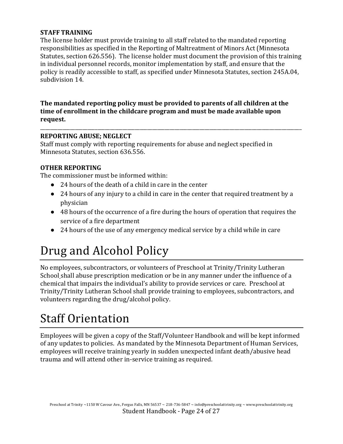### **STAFF TRAINING**

The license holder must provide training to all staff related to the mandated reporting responsibilities as specified in the Reporting of Maltreatment of Minors Act (Minnesota Statutes, section 626.556). The license holder must document the provision of this training in individual personnel records, monitor implementation by staff, and ensure that the policy is readily accessible to staff, as specified under Minnesota Statutes, section 245A.04, subdivision 14.

**The mandated reporting policy must be provided to parents of all children at the time of enrollment in the childcare program and must be made available upon request.** 

\_\_\_\_\_\_\_\_\_\_\_\_\_\_\_\_\_\_\_\_\_\_\_\_\_\_\_\_\_\_\_\_\_\_\_\_\_\_\_\_\_\_\_\_\_\_\_\_\_\_\_\_\_\_\_\_\_\_\_\_\_\_\_\_\_\_\_\_\_\_\_\_\_\_\_\_\_\_\_\_\_\_\_\_\_\_\_\_\_\_\_\_\_\_\_\_\_\_\_\_\_\_\_\_\_

#### <span id="page-23-0"></span>**REPORTING ABUSE; NEGLECT**

Staff must comply with reporting requirements for abuse and neglect specified in Minnesota Statutes, section 636.556.

#### <span id="page-23-1"></span>**OTHER REPORTING**

The commissioner must be informed within:

- 24 hours of the death of a child in care in the center
- 24 hours of any injury to a child in care in the center that required treatment by a physician
- 48 hours of the occurrence of a fire during the hours of operation that requires the service of a fire department
- 24 hours of the use of any emergency medical service by a child while in care

## Drug and Alcohol Policy

No employees, subcontractors, or volunteers of Preschool at Trinity/Trinity Lutheran School shall abuse prescription medication or be in any manner under the influence of a chemical that impairs the individual's ability to provide services or care. Preschool at Trinity/Trinity Lutheran School shall provide training to employees, subcontractors, and volunteers regarding the drug/alcohol policy.

## Staff Orientation

Employees will be given a copy of the Staff/Volunteer Handbook and will be kept informed of any updates to policies. As mandated by the Minnesota Department of Human Services, employees will receive training yearly in sudden unexpected infant death/abusive head trauma and will attend other in-service training as required.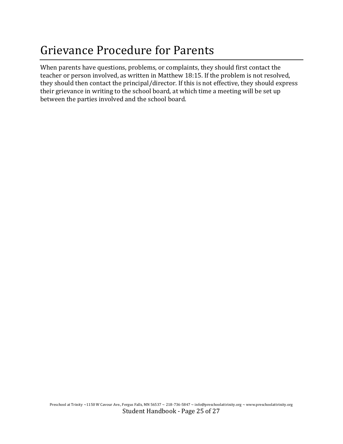## Grievance Procedure for Parents

When parents have questions, problems, or complaints, they should first contact the teacher or person involved, as written in Matthew 18:15. If the problem is not resolved, they should then contact the principal/director. If this is not effective, they should express their grievance in writing to the school board, at which time a meeting will be set up between the parties involved and the school board.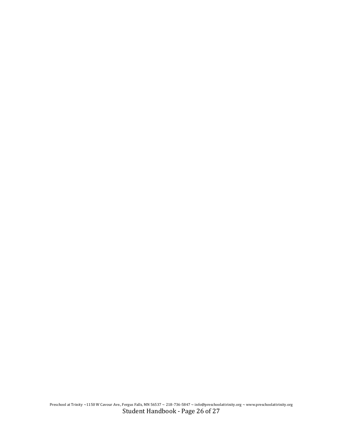Preschool at Trinity ~1150 W Cavour Ave., Fergus Falls, MN 56537 ~ 218-736-5847 ~ info@preschoolattrinity.org ~ www.preschoolattrinity.org Student Handbook - Page 26 of 27